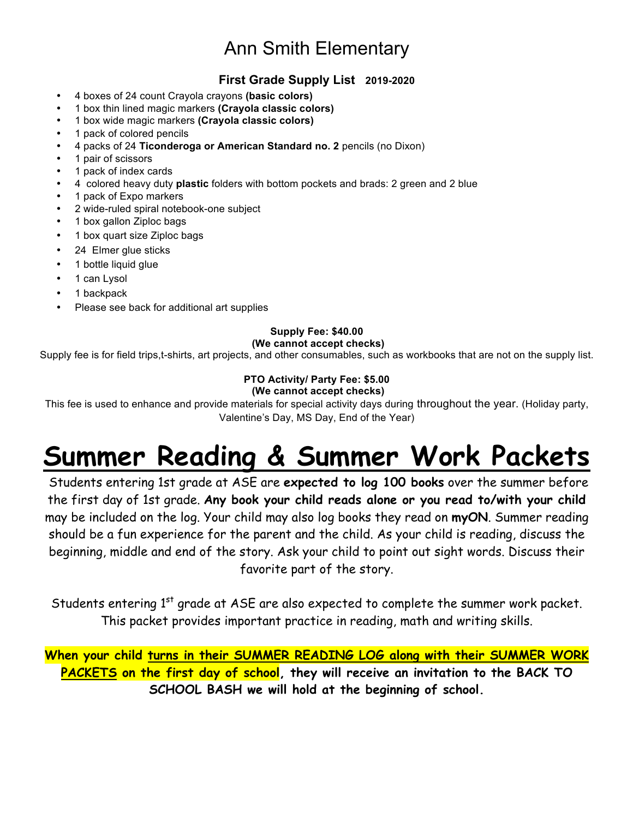# Ann Smith Elementary

### **First Grade Supply List 2019-2020**

- 4 boxes of 24 count Crayola crayons **(basic colors)**
- 1 box thin lined magic markers **(Crayola classic colors)**
- 1 box wide magic markers **(Crayola classic colors)**
- 1 pack of colored pencils
- 4 packs of 24 **Ticonderoga or American Standard no. 2** pencils (no Dixon)
- 1 pair of scissors
- 1 pack of index cards
- 4 colored heavy duty **plastic** folders with bottom pockets and brads: 2 green and 2 blue
- 1 pack of Expo markers
- 2 wide-ruled spiral notebook-one subject
- 1 box gallon Ziploc bags
- 1 box quart size Ziploc bags
- 24 Elmer glue sticks
- 1 bottle liquid glue
- 1 can Lysol
- 1 backpack
- Please see back for additional art supplies

#### **Supply Fee: \$40.00**

#### **(We cannot accept checks)**

Supply fee is for field trips,t-shirts, art projects, and other consumables, such as workbooks that are not on the supply list.

## **PTO Activity/ Party Fee: \$5.00**

#### **(We cannot accept checks)**

This fee is used to enhance and provide materials for special activity days during throughout the year. (Holiday party, Valentine's Day, MS Day, End of the Year)

# **Summer Reading & Summer Work Packets**

Students entering 1st grade at ASE are **expected to log 100 books** over the summer before the first day of 1st grade. **Any book your child reads alone or you read to/with your child**  may be included on the log. Your child may also log books they read on **myON**. Summer reading should be a fun experience for the parent and the child. As your child is reading, discuss the beginning, middle and end of the story. Ask your child to point out sight words. Discuss their favorite part of the story.

Students entering 1<sup>st</sup> grade at ASE are also expected to complete the summer work packet. This packet provides important practice in reading, math and writing skills.

**When your child turns in their SUMMER READING LOG along with their SUMMER WORK PACKETS on the first day of school, they will receive an invitation to the BACK TO SCHOOL BASH we will hold at the beginning of school.**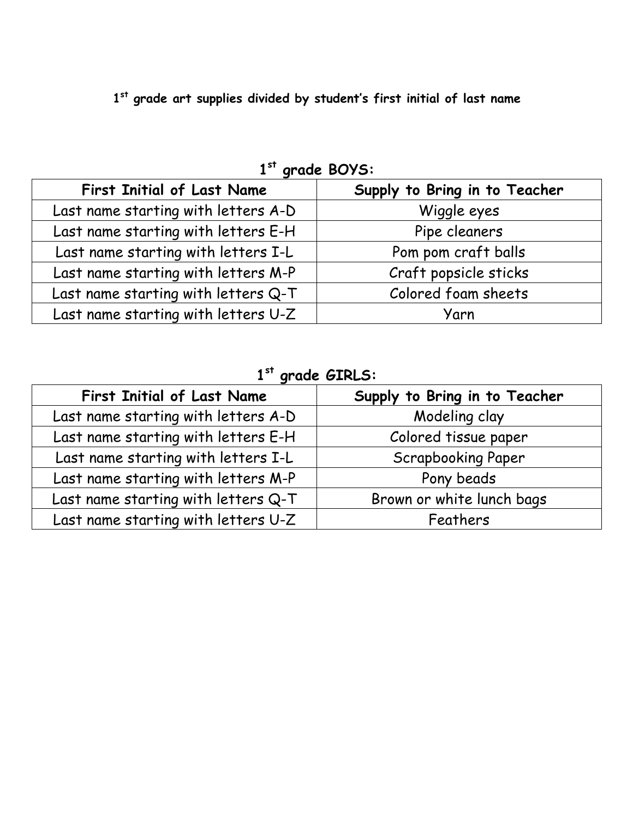**1st grade art supplies divided by student's first initial of last name**

**1st grade BOYS:** 

| <b>First Initial of Last Name</b>   | Supply to Bring in to Teacher |
|-------------------------------------|-------------------------------|
| Last name starting with letters A-D | Wiggle eyes                   |
| Last name starting with letters E-H | Pipe cleaners                 |
| Last name starting with letters I-L | Pom pom craft balls           |
| Last name starting with letters M-P | Craft popsicle sticks         |
| Last name starting with letters Q-T | Colored foam sheets           |
| Last name starting with letters U-Z | Yarn                          |

**1st grade GIRLS:**

| <b>First Initial of Last Name</b>   | Supply to Bring in to Teacher |
|-------------------------------------|-------------------------------|
| Last name starting with letters A-D | Modeling clay                 |
| Last name starting with letters E-H | Colored tissue paper          |
| Last name starting with letters I-L | <b>Scrapbooking Paper</b>     |
| Last name starting with letters M-P | Pony beads                    |
| Last name starting with letters Q-T | Brown or white lunch bags     |
| Last name starting with letters U-Z | Feathers                      |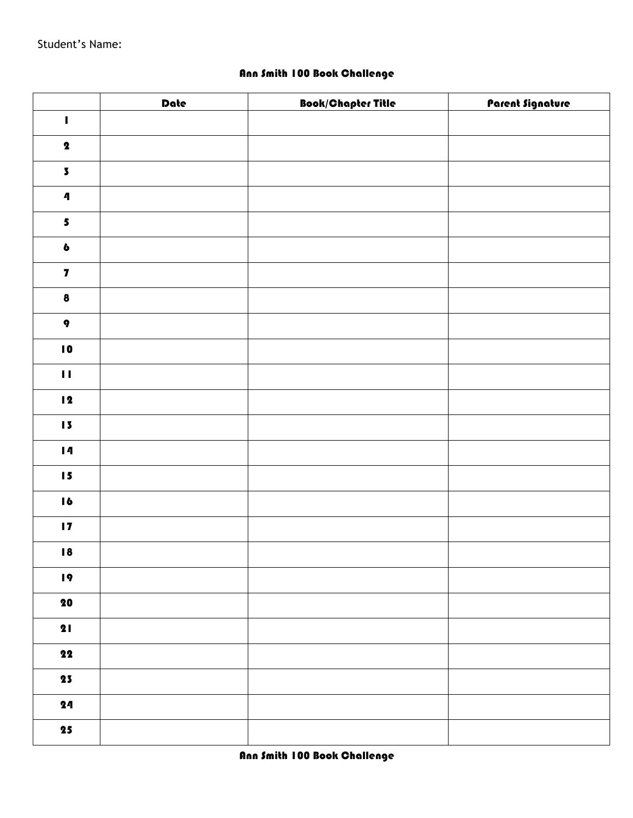Student's Name:

#### Ann Smith 100 Book Challenge

|                          | Date | <b>Book/Chapter Title</b> | <u> Parent Signature</u> |
|--------------------------|------|---------------------------|--------------------------|
| $\blacksquare$           |      |                           |                          |
| $\pmb{2}$                |      |                           |                          |
| $\overline{\mathbf{5}}$  |      |                           |                          |
| $\pmb{\eta}$             |      |                           |                          |
| $\overline{\mathbf{5}}$  |      |                           |                          |
| $\pmb{b}$                |      |                           |                          |
| $\overline{\mathbf{z}}$  |      |                           |                          |
| $\pmb{8}$                |      |                           |                          |
| $\pmb{q}$                |      |                           |                          |
| $\blacksquare$           |      |                           |                          |
| $\mathbf{H}$             |      |                           |                          |
| $\blacksquare$           |      |                           |                          |
| $\sqrt{5}$               |      |                           |                          |
| $\blacksquare$           |      |                           |                          |
| $\blacksquare$           |      |                           |                          |
| $\blacksquare$           |      |                           |                          |
| $\blacksquare$           |      |                           |                          |
| 18                       |      |                           |                          |
| $\overline{19}$          |      |                           |                          |
| $\bf{20}$                |      |                           |                          |
| 21                       |      |                           |                          |
| $\overline{\mathbf{22}}$ |      |                           |                          |
| 23                       |      |                           |                          |
| 24                       |      |                           |                          |
| $\overline{\mathbf{25}}$ |      |                           |                          |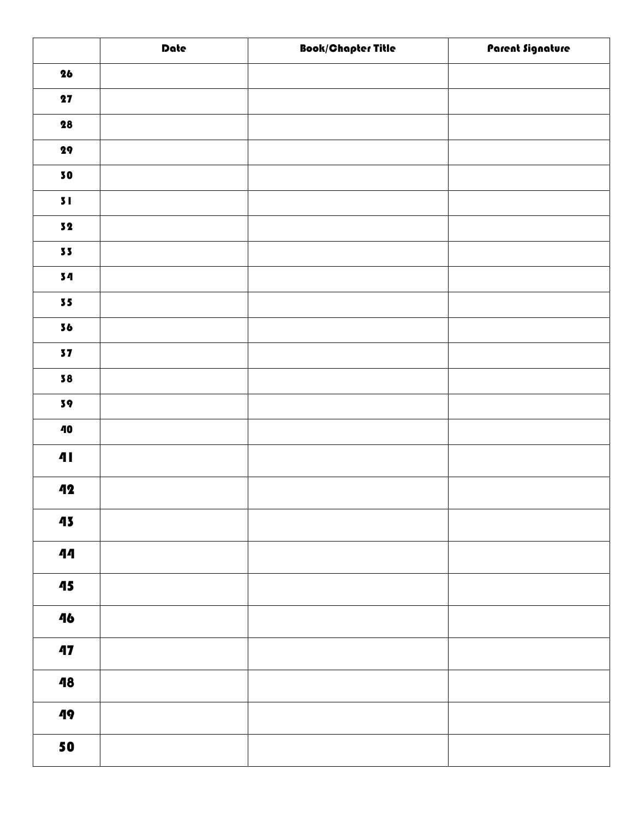|                          | Date | <b>Book/Chapter Title</b> | Parent Signature |
|--------------------------|------|---------------------------|------------------|
| 26                       |      |                           |                  |
| 27                       |      |                           |                  |
| ${\bf 28}$               |      |                           |                  |
| ${\bf 29}$               |      |                           |                  |
| 30                       |      |                           |                  |
| 51                       |      |                           |                  |
| ${\bf 52}$               |      |                           |                  |
| $\bf 55$                 |      |                           |                  |
| 34                       |      |                           |                  |
| 55                       |      |                           |                  |
| 36                       |      |                           |                  |
| 37                       |      |                           |                  |
| 38                       |      |                           |                  |
| $\mathbf{39}$            |      |                           |                  |
| $\bf 40$                 |      |                           |                  |
| $\ddot{\mathbf{a}}$      |      |                           |                  |
| 42                       |      |                           |                  |
| 43                       |      |                           |                  |
| 44                       |      |                           |                  |
| $\overline{\mathbf{45}}$ |      |                           |                  |
| 46                       |      |                           |                  |
| 47                       |      |                           |                  |
| 48                       |      |                           |                  |
| 49                       |      |                           |                  |
| 50                       |      |                           |                  |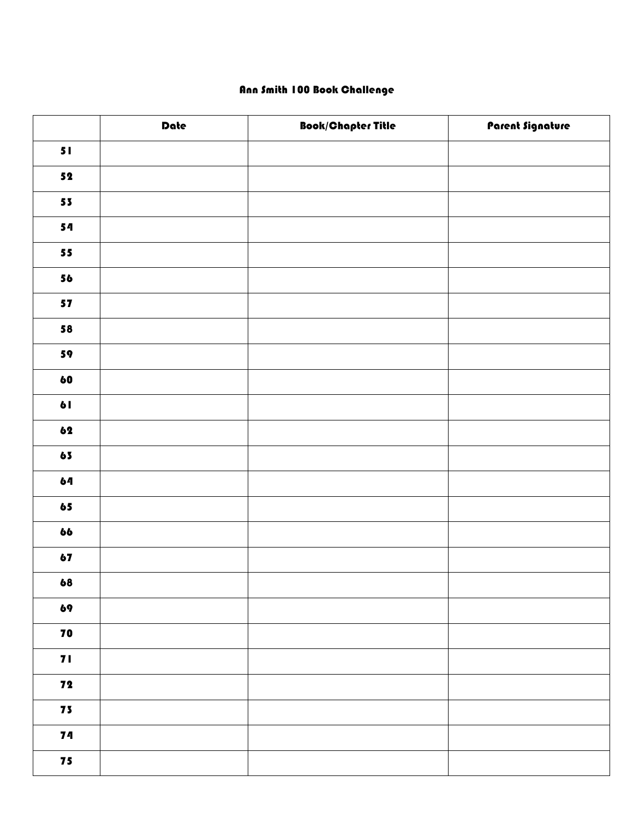#### Ann Smith 100 Book Challenge

|            | Date | <b>Book/Chapter Title</b> | Parent Signature |
|------------|------|---------------------------|------------------|
| 51         |      |                           |                  |
| ${\bf 52}$ |      |                           |                  |
| $\bf 55$   |      |                           |                  |
| 54         |      |                           |                  |
| $\bf 55$   |      |                           |                  |
| 56         |      |                           |                  |
| ${\bf 57}$ |      |                           |                  |
| ${\bf 58}$ |      |                           |                  |
| 59         |      |                           |                  |
| 60         |      |                           |                  |
| 61         |      |                           |                  |
| 62         |      |                           |                  |
| $\bf 65$   |      |                           |                  |
| 64         |      |                           |                  |
| $\bf 65$   |      |                           |                  |
| 66         |      |                           |                  |
| ${\bf 67}$ |      |                           |                  |
| 68         |      |                           |                  |
| 69         |      |                           |                  |
| 70         |      |                           |                  |
| 71         |      |                           |                  |
| 72         |      |                           |                  |
| 75         |      |                           |                  |
| 74         |      |                           |                  |
| 75         |      |                           |                  |